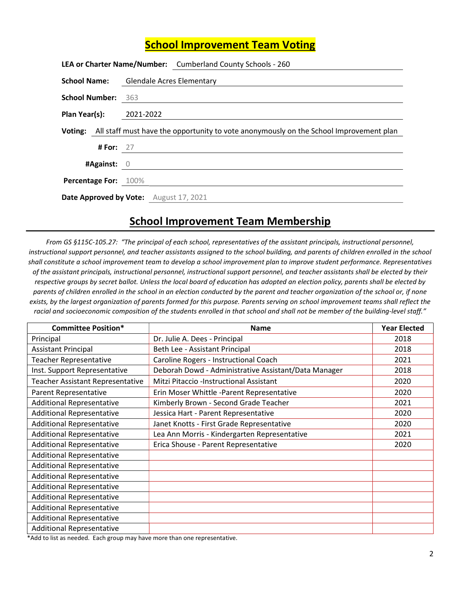## School Improvement Team Voting

|                                        |                    | LEA or Charter Name/Number: Cumberland County Schools - 260                                    |
|----------------------------------------|--------------------|------------------------------------------------------------------------------------------------|
|                                        |                    | <b>School Name:</b> Glendale Acres Elementary                                                  |
| <b>School Number: 363</b>              |                    |                                                                                                |
| Plan Year(s): 2021-2022                |                    |                                                                                                |
|                                        |                    | Voting: All staff must have the opportunity to vote anonymously on the School Improvement plan |
|                                        | <b># For:</b> $27$ |                                                                                                |
| #Against: 0                            |                    |                                                                                                |
| Percentage For: 100%                   |                    |                                                                                                |
| Date Approved by Vote: August 17, 2021 |                    |                                                                                                |

## School Improvement Team Membership

From GS §115C-105.27: "The principal of each school, representatives of the assistant principals, instructional personnel, instructional support personnel, and teacher assistants assigned to the school building, and parents of children enrolled in the school shall constitute a school improvement team to develop a school improvement plan to improve student performance. Representatives of the assistant principals, instructional personnel, instructional support personnel, and teacher assistants shall be elected by their respective groups by secret ballot. Unless the local board of education has adopted an election policy, parents shall be elected by parents of children enrolled in the school in an election conducted by the parent and teacher organization of the school or, if none exists, by the largest organization of parents formed for this purpose. Parents serving on school improvement teams shall reflect the racial and socioeconomic composition of the students enrolled in that school and shall not be member of the building-level staff."

| <b>Committee Position*</b>              | <b>Name</b>                                          | <b>Year Elected</b> |
|-----------------------------------------|------------------------------------------------------|---------------------|
| Principal                               | Dr. Julie A. Dees - Principal                        | 2018                |
| <b>Assistant Principal</b>              | Beth Lee - Assistant Principal                       | 2018                |
| Teacher Representative                  | Caroline Rogers - Instructional Coach                | 2021                |
| Inst. Support Representative            | Deborah Dowd - Administrative Assistant/Data Manager | 2018                |
| <b>Teacher Assistant Representative</b> | Mitzi Pitaccio -Instructional Assistant              | 2020                |
| Parent Representative                   | Erin Moser Whittle -Parent Representative            | 2020                |
| <b>Additional Representative</b>        | Kimberly Brown - Second Grade Teacher                | 2021                |
| <b>Additional Representative</b>        | Jessica Hart - Parent Representative                 | 2020                |
| <b>Additional Representative</b>        | Janet Knotts - First Grade Representative            | 2020                |
| <b>Additional Representative</b>        | Lea Ann Morris - Kindergarten Representative         | 2021                |
| <b>Additional Representative</b>        | Erica Shouse - Parent Representative                 | 2020                |
| <b>Additional Representative</b>        |                                                      |                     |
| <b>Additional Representative</b>        |                                                      |                     |
| <b>Additional Representative</b>        |                                                      |                     |
| <b>Additional Representative</b>        |                                                      |                     |
| <b>Additional Representative</b>        |                                                      |                     |
| <b>Additional Representative</b>        |                                                      |                     |
| <b>Additional Representative</b>        |                                                      |                     |
| <b>Additional Representative</b>        |                                                      |                     |

\*Add to list as needed. Each group may have more than one representative.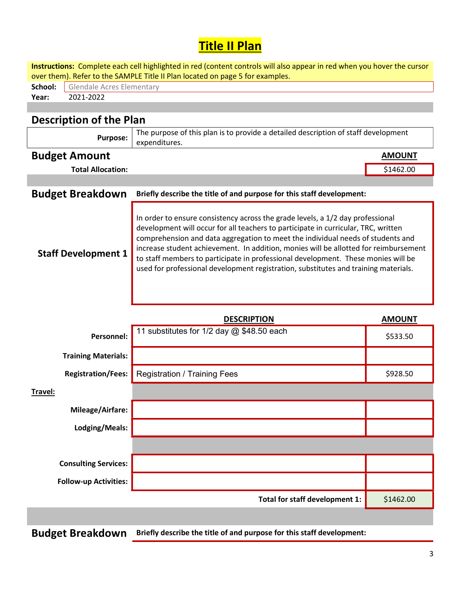## **Title II Plan**

| Instructions: Complete each cell highlighted in red (content controls will also appear in red when you hover the cursor |                                                                                                                                                                                                                                                                                                                                                                                                                                                                                                                             |               |  |  |  |  |  |  |
|-------------------------------------------------------------------------------------------------------------------------|-----------------------------------------------------------------------------------------------------------------------------------------------------------------------------------------------------------------------------------------------------------------------------------------------------------------------------------------------------------------------------------------------------------------------------------------------------------------------------------------------------------------------------|---------------|--|--|--|--|--|--|
| over them). Refer to the SAMPLE Title II Plan located on page 5 for examples.                                           |                                                                                                                                                                                                                                                                                                                                                                                                                                                                                                                             |               |  |  |  |  |  |  |
| School:<br><b>Glendale Acres Elementary</b>                                                                             |                                                                                                                                                                                                                                                                                                                                                                                                                                                                                                                             |               |  |  |  |  |  |  |
| 2021-2022<br>Year:                                                                                                      |                                                                                                                                                                                                                                                                                                                                                                                                                                                                                                                             |               |  |  |  |  |  |  |
|                                                                                                                         |                                                                                                                                                                                                                                                                                                                                                                                                                                                                                                                             |               |  |  |  |  |  |  |
|                                                                                                                         | <b>Description of the Plan</b>                                                                                                                                                                                                                                                                                                                                                                                                                                                                                              |               |  |  |  |  |  |  |
| <b>Purpose:</b>                                                                                                         | The purpose of this plan is to provide a detailed description of staff development<br>expenditures.                                                                                                                                                                                                                                                                                                                                                                                                                         |               |  |  |  |  |  |  |
| <b>Budget Amount</b>                                                                                                    |                                                                                                                                                                                                                                                                                                                                                                                                                                                                                                                             | <b>AMOUNT</b> |  |  |  |  |  |  |
| <b>Total Allocation:</b>                                                                                                |                                                                                                                                                                                                                                                                                                                                                                                                                                                                                                                             | \$1462.00     |  |  |  |  |  |  |
|                                                                                                                         |                                                                                                                                                                                                                                                                                                                                                                                                                                                                                                                             |               |  |  |  |  |  |  |
| <b>Budget Breakdown</b>                                                                                                 | Briefly describe the title of and purpose for this staff development:                                                                                                                                                                                                                                                                                                                                                                                                                                                       |               |  |  |  |  |  |  |
| <b>Staff Development 1</b>                                                                                              | In order to ensure consistency across the grade levels, a 1/2 day professional<br>development will occur for all teachers to participate in curricular, TRC, written<br>comprehension and data aggregation to meet the individual needs of students and<br>increase student achievement. In addition, monies will be allotted for reimbursement<br>to staff members to participate in professional development. These monies will be<br>used for professional development registration, substitutes and training materials. |               |  |  |  |  |  |  |
|                                                                                                                         | <b>DESCRIPTION</b>                                                                                                                                                                                                                                                                                                                                                                                                                                                                                                          | <b>AMOUNT</b> |  |  |  |  |  |  |
| <b>Personnel:</b>                                                                                                       | 11 substitutes for 1/2 day @ \$48.50 each                                                                                                                                                                                                                                                                                                                                                                                                                                                                                   | \$533.50      |  |  |  |  |  |  |
| <b>Training Materials:</b>                                                                                              |                                                                                                                                                                                                                                                                                                                                                                                                                                                                                                                             |               |  |  |  |  |  |  |
| <b>Registration/Fees:</b>                                                                                               | <b>Registration / Training Fees</b>                                                                                                                                                                                                                                                                                                                                                                                                                                                                                         | \$928.50      |  |  |  |  |  |  |
| Travel:                                                                                                                 |                                                                                                                                                                                                                                                                                                                                                                                                                                                                                                                             |               |  |  |  |  |  |  |
| Mileage/Airfare:                                                                                                        |                                                                                                                                                                                                                                                                                                                                                                                                                                                                                                                             |               |  |  |  |  |  |  |
| Lodging/Meals:                                                                                                          |                                                                                                                                                                                                                                                                                                                                                                                                                                                                                                                             |               |  |  |  |  |  |  |
|                                                                                                                         |                                                                                                                                                                                                                                                                                                                                                                                                                                                                                                                             |               |  |  |  |  |  |  |
| <b>Consulting Services:</b>                                                                                             |                                                                                                                                                                                                                                                                                                                                                                                                                                                                                                                             |               |  |  |  |  |  |  |
| <b>Follow-up Activities:</b>                                                                                            |                                                                                                                                                                                                                                                                                                                                                                                                                                                                                                                             |               |  |  |  |  |  |  |
|                                                                                                                         | Total for staff development 1:                                                                                                                                                                                                                                                                                                                                                                                                                                                                                              | \$1462.00     |  |  |  |  |  |  |
|                                                                                                                         |                                                                                                                                                                                                                                                                                                                                                                                                                                                                                                                             |               |  |  |  |  |  |  |

Budget Breakdown Briefly describe the title of and purpose for this staff development: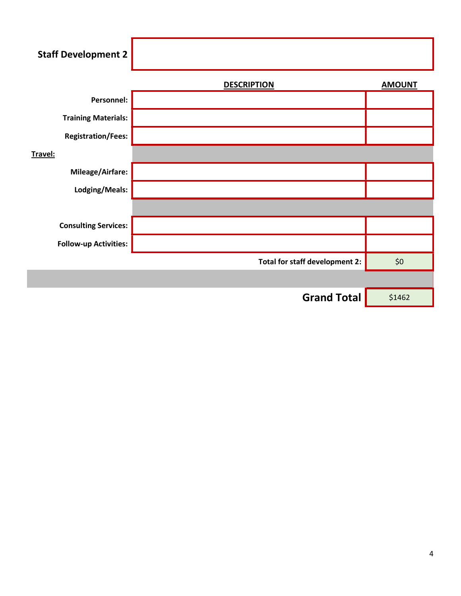